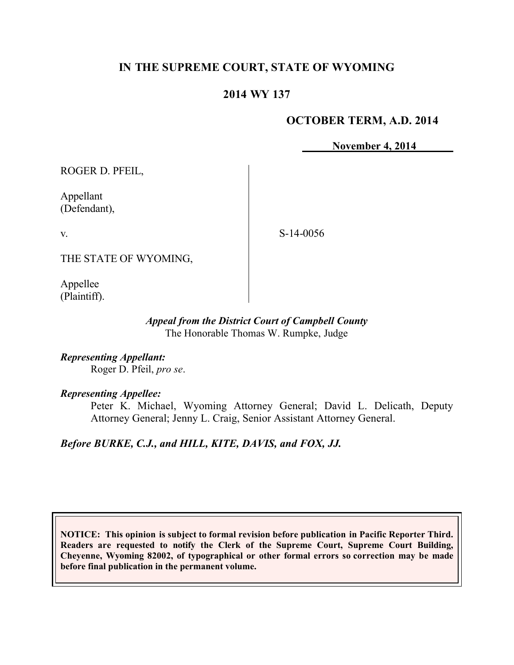## **IN THE SUPREME COURT, STATE OF WYOMING**

### **2014 WY 137**

#### **OCTOBER TERM, A.D. 2014**

**November 4, 2014**

ROGER D. PFEIL,

Appellant (Defendant),

v.

S-14-0056

THE STATE OF WYOMING,

Appellee (Plaintiff).

#### *Appeal from the District Court of Campbell County* The Honorable Thomas W. Rumpke, Judge

*Representing Appellant:* Roger D. Pfeil, *pro se*.

#### *Representing Appellee:*

Peter K. Michael, Wyoming Attorney General; David L. Delicath, Deputy Attorney General; Jenny L. Craig, Senior Assistant Attorney General.

# *Before BURKE, C.J., and HILL, KITE, DAVIS, and FOX, JJ.*

**NOTICE: This opinion is subject to formal revision before publication in Pacific Reporter Third. Readers are requested to notify the Clerk of the Supreme Court, Supreme Court Building, Cheyenne, Wyoming 82002, of typographical or other formal errors so correction may be made before final publication in the permanent volume.**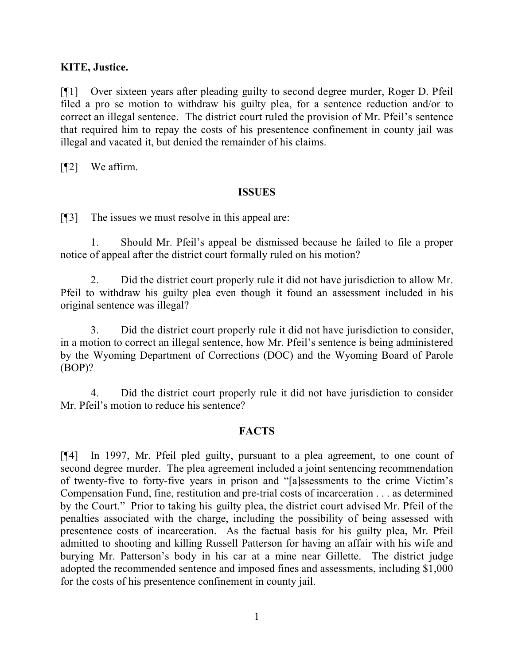### **KITE, Justice.**

[¶1] Over sixteen years after pleading guilty to second degree murder, Roger D. Pfeil filed a pro se motion to withdraw his guilty plea, for a sentence reduction and/or to correct an illegal sentence. The district court ruled the provision of Mr. Pfeil's sentence that required him to repay the costs of his presentence confinement in county jail was illegal and vacated it, but denied the remainder of his claims.

[¶2] We affirm.

#### **ISSUES**

[¶3] The issues we must resolve in this appeal are:

1. Should Mr. Pfeil's appeal be dismissed because he failed to file a proper notice of appeal after the district court formally ruled on his motion?

2. Did the district court properly rule it did not have jurisdiction to allow Mr. Pfeil to withdraw his guilty plea even though it found an assessment included in his original sentence was illegal?

3. Did the district court properly rule it did not have jurisdiction to consider, in a motion to correct an illegal sentence, how Mr. Pfeil's sentence is being administered by the Wyoming Department of Corrections (DOC) and the Wyoming Board of Parole (BOP)?

4. Did the district court properly rule it did not have jurisdiction to consider Mr. Pfeil's motion to reduce his sentence?

### **FACTS**

[¶4] In 1997, Mr. Pfeil pled guilty, pursuant to a plea agreement, to one count of second degree murder. The plea agreement included a joint sentencing recommendation of twenty-five to forty-five years in prison and "[a]ssessments to the crime Victim's Compensation Fund, fine, restitution and pre-trial costs of incarceration . . . as determined by the Court." Prior to taking his guilty plea, the district court advised Mr. Pfeil of the penalties associated with the charge, including the possibility of being assessed with presentence costs of incarceration. As the factual basis for his guilty plea, Mr. Pfeil admitted to shooting and killing Russell Patterson for having an affair with his wife and burying Mr. Patterson's body in his car at a mine near Gillette. The district judge adopted the recommended sentence and imposed fines and assessments, including \$1,000 for the costs of his presentence confinement in county jail.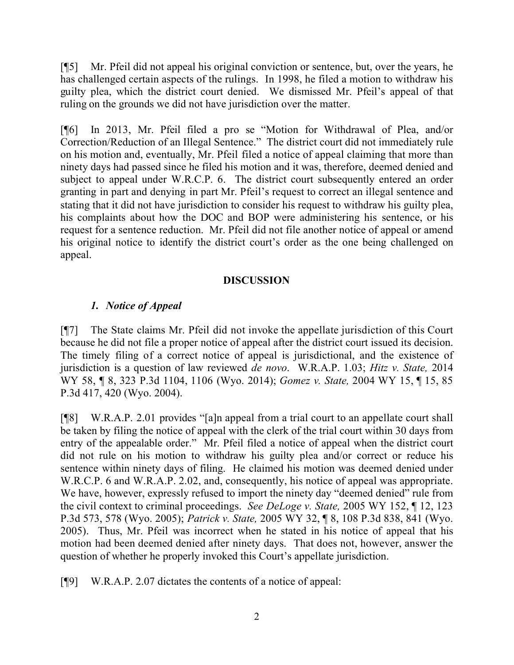[¶5] Mr. Pfeil did not appeal his original conviction or sentence, but, over the years, he has challenged certain aspects of the rulings. In 1998, he filed a motion to withdraw his guilty plea, which the district court denied. We dismissed Mr. Pfeil's appeal of that ruling on the grounds we did not have jurisdiction over the matter.

[¶6] In 2013, Mr. Pfeil filed a pro se "Motion for Withdrawal of Plea, and/or Correction/Reduction of an Illegal Sentence." The district court did not immediately rule on his motion and, eventually, Mr. Pfeil filed a notice of appeal claiming that more than ninety days had passed since he filed his motion and it was, therefore, deemed denied and subject to appeal under W.R.C.P. 6. The district court subsequently entered an order granting in part and denying in part Mr. Pfeil's request to correct an illegal sentence and stating that it did not have jurisdiction to consider his request to withdraw his guilty plea, his complaints about how the DOC and BOP were administering his sentence, or his request for a sentence reduction. Mr. Pfeil did not file another notice of appeal or amend his original notice to identify the district court's order as the one being challenged on appeal.

### **DISCUSSION**

## *1. Notice of Appeal*

[¶7] The State claims Mr. Pfeil did not invoke the appellate jurisdiction of this Court because he did not file a proper notice of appeal after the district court issued its decision. The timely filing of a correct notice of appeal is jurisdictional, and the existence of jurisdiction is a question of law reviewed *de novo*. W.R.A.P. 1.03; *Hitz v. State,* 2014 WY 58, ¶ 8, 323 P.3d 1104, 1106 (Wyo. 2014); *Gomez v. State,* 2004 WY 15, ¶ 15, 85 P.3d 417, 420 (Wyo. 2004).

[¶8] W.R.A.P. 2.01 provides "[a]n appeal from a trial court to an appellate court shall be taken by filing the notice of appeal with the clerk of the trial court within 30 days from entry of the appealable order." Mr. Pfeil filed a notice of appeal when the district court did not rule on his motion to withdraw his guilty plea and/or correct or reduce his sentence within ninety days of filing. He claimed his motion was deemed denied under W.R.C.P. 6 and W.R.A.P. 2.02, and, consequently, his notice of appeal was appropriate. We have, however, expressly refused to import the ninety day "deemed denied" rule from the civil context to criminal proceedings. *See DeLoge v. State,* 2005 WY 152, ¶ 12, 123 P.3d 573, 578 (Wyo. 2005); *Patrick v. State,* 2005 WY 32, ¶ 8, 108 P.3d 838, 841 (Wyo. 2005). Thus, Mr. Pfeil was incorrect when he stated in his notice of appeal that his motion had been deemed denied after ninety days. That does not, however, answer the question of whether he properly invoked this Court's appellate jurisdiction.

[¶9] W.R.A.P. 2.07 dictates the contents of a notice of appeal: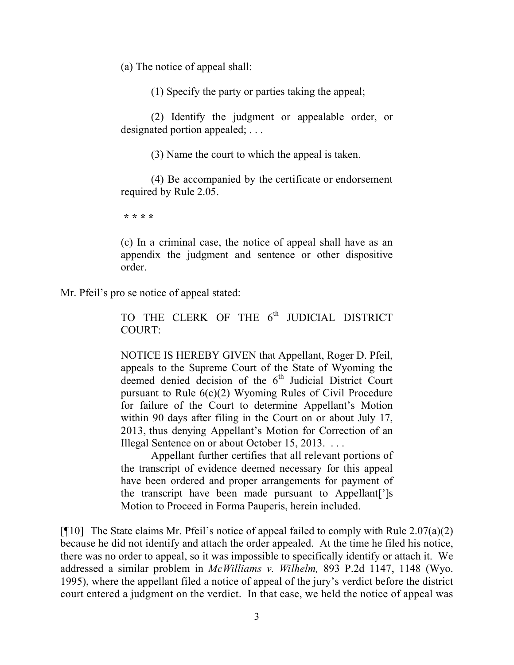(a) The notice of appeal shall:

(1) Specify the party or parties taking the appeal;

(2) Identify the judgment or appealable order, or designated portion appealed; . . .

(3) Name the court to which the appeal is taken.

(4) Be accompanied by the certificate or endorsement required by Rule 2.05.

**\* \* \* \***

(c) In a criminal case, the notice of appeal shall have as an appendix the judgment and sentence or other dispositive order.

Mr. Pfeil's pro se notice of appeal stated:

TO THE CLERK OF THE 6<sup>th</sup> JUDICIAL DISTRICT COURT:

NOTICE IS HEREBY GIVEN that Appellant, Roger D. Pfeil, appeals to the Supreme Court of the State of Wyoming the deemed denied decision of the 6<sup>th</sup> Judicial District Court pursuant to Rule 6(c)(2) Wyoming Rules of Civil Procedure for failure of the Court to determine Appellant's Motion within 90 days after filing in the Court on or about July 17, 2013, thus denying Appellant's Motion for Correction of an Illegal Sentence on or about October 15, 2013. . . . .

Appellant further certifies that all relevant portions of the transcript of evidence deemed necessary for this appeal have been ordered and proper arrangements for payment of the transcript have been made pursuant to Appellant[']s Motion to Proceed in Forma Pauperis, herein included.

[ $\llbracket \cdot \rrbracket$ ] The State claims Mr. Pfeil's notice of appeal failed to comply with Rule 2.07(a)(2) because he did not identify and attach the order appealed. At the time he filed his notice, there was no order to appeal, so it was impossible to specifically identify or attach it. We addressed a similar problem in *McWilliams v. Wilhelm,* 893 P.2d 1147, 1148 (Wyo. 1995), where the appellant filed a notice of appeal of the jury's verdict before the district court entered a judgment on the verdict. In that case, we held the notice of appeal was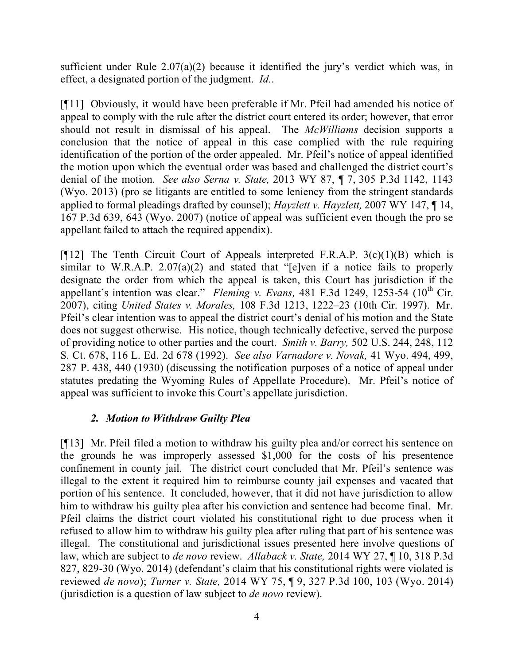sufficient under Rule 2.07(a)(2) because it identified the jury's verdict which was, in effect, a designated portion of the judgment. *Id.*.

[¶11] Obviously, it would have been preferable if Mr. Pfeil had amended his notice of appeal to comply with the rule after the district court entered its order; however, that error should not result in dismissal of his appeal. The *McWilliams* decision supports a conclusion that the notice of appeal in this case complied with the rule requiring identification of the portion of the order appealed. Mr. Pfeil's notice of appeal identified the motion upon which the eventual order was based and challenged the district court's denial of the motion. *See also Serna v. State,* 2013 WY 87, ¶ 7, 305 P.3d 1142, 1143 (Wyo. 2013) (pro se litigants are entitled to some leniency from the stringent standards applied to formal pleadings drafted by counsel); *Hayzlett v. Hayzlett,* 2007 WY 147, ¶ 14, 167 P.3d 639, 643 (Wyo. 2007) (notice of appeal was sufficient even though the pro se appellant failed to attach the required appendix).

[ $[$ [12] The Tenth Circuit Court of Appeals interpreted F.R.A.P. 3(c)(1)(B) which is similar to W.R.A.P.  $2.07(a)(2)$  and stated that "[e]ven if a notice fails to properly designate the order from which the appeal is taken, this Court has jurisdiction if the appellant's intention was clear." *Fleming v. Evans*, 481 F.3d 1249, 1253-54 (10<sup>th</sup> Cir. 2007), citing *United States v. Morales,* 108 F.3d 1213, 1222–23 (10th Cir. 1997). Mr. Pfeil's clear intention was to appeal the district court's denial of his motion and the State does not suggest otherwise. His notice, though technically defective, served the purpose of providing notice to other parties and the court. *Smith v. Barry,* 502 U.S. 244, 248, 112 S. Ct. 678, 116 L. Ed. 2d 678 (1992). *See also Varnadore v. Novak,* 41 Wyo. 494, 499, 287 P. 438, 440 (1930) (discussing the notification purposes of a notice of appeal under statutes predating the Wyoming Rules of Appellate Procedure). Mr. Pfeil's notice of appeal was sufficient to invoke this Court's appellate jurisdiction.

## *2. Motion to Withdraw Guilty Plea*

[¶13] Mr. Pfeil filed a motion to withdraw his guilty plea and/or correct his sentence on the grounds he was improperly assessed \$1,000 for the costs of his presentence confinement in county jail. The district court concluded that Mr. Pfeil's sentence was illegal to the extent it required him to reimburse county jail expenses and vacated that portion of his sentence. It concluded, however, that it did not have jurisdiction to allow him to withdraw his guilty plea after his conviction and sentence had become final. Mr. Pfeil claims the district court violated his constitutional right to due process when it refused to allow him to withdraw his guilty plea after ruling that part of his sentence was illegal. The constitutional and jurisdictional issues presented here involve questions of law, which are subject to *de novo* review. *Allaback v. State,* 2014 WY 27, ¶ 10, 318 P.3d 827, 829-30 (Wyo. 2014) (defendant's claim that his constitutional rights were violated is reviewed *de novo*); *Turner v. State,* 2014 WY 75, ¶ 9, 327 P.3d 100, 103 (Wyo. 2014) (jurisdiction is a question of law subject to *de novo* review).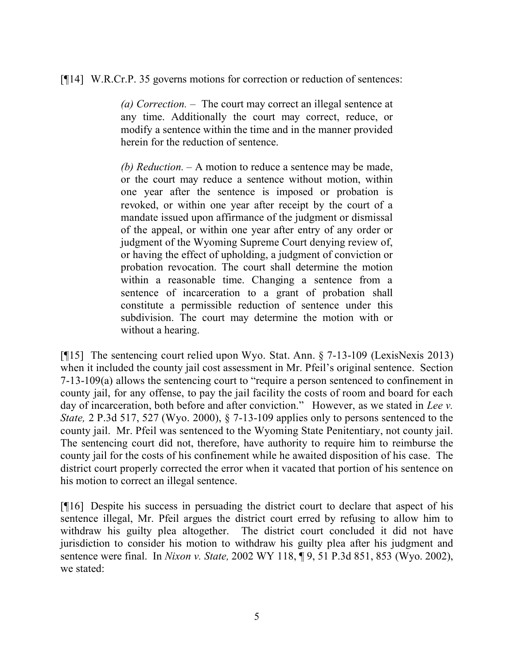[¶14] W.R.Cr.P. 35 governs motions for correction or reduction of sentences:

*(a) Correction.* – The court may correct an illegal sentence at any time. Additionally the court may correct, reduce, or modify a sentence within the time and in the manner provided herein for the reduction of sentence.

*(b) Reduction.* – A motion to reduce a sentence may be made, or the court may reduce a sentence without motion, within one year after the sentence is imposed or probation is revoked, or within one year after receipt by the court of a mandate issued upon affirmance of the judgment or dismissal of the appeal, or within one year after entry of any order or judgment of the Wyoming Supreme Court denying review of, or having the effect of upholding, a judgment of conviction or probation revocation. The court shall determine the motion within a reasonable time. Changing a sentence from a sentence of incarceration to a grant of probation shall constitute a permissible reduction of sentence under this subdivision. The court may determine the motion with or without a hearing.

[¶15] The sentencing court relied upon Wyo. Stat. Ann. § 7-13-109 (LexisNexis 2013) when it included the county jail cost assessment in Mr. Pfeil's original sentence. Section 7-13-109(a) allows the sentencing court to "require a person sentenced to confinement in county jail, for any offense, to pay the jail facility the costs of room and board for each day of incarceration, both before and after conviction." However, as we stated in *Lee v. State,* 2 P.3d 517, 527 (Wyo. 2000), § 7-13-109 applies only to persons sentenced to the county jail. Mr. Pfeil was sentenced to the Wyoming State Penitentiary, not county jail. The sentencing court did not, therefore, have authority to require him to reimburse the county jail for the costs of his confinement while he awaited disposition of his case. The district court properly corrected the error when it vacated that portion of his sentence on his motion to correct an illegal sentence.

[¶16] Despite his success in persuading the district court to declare that aspect of his sentence illegal, Mr. Pfeil argues the district court erred by refusing to allow him to withdraw his guilty plea altogether. The district court concluded it did not have jurisdiction to consider his motion to withdraw his guilty plea after his judgment and sentence were final. In *Nixon v. State,* 2002 WY 118, ¶ 9, 51 P.3d 851, 853 (Wyo. 2002), we stated: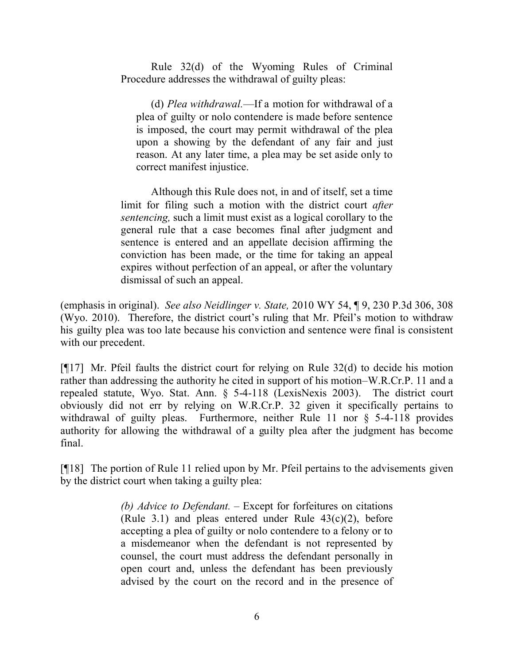Rule 32(d) of the Wyoming Rules of Criminal Procedure addresses the withdrawal of guilty pleas:

(d) *Plea withdrawal.*—If a motion for withdrawal of a plea of guilty or nolo contendere is made before sentence is imposed, the court may permit withdrawal of the plea upon a showing by the defendant of any fair and just reason. At any later time, a plea may be set aside only to correct manifest injustice.

Although this Rule does not, in and of itself, set a time limit for filing such a motion with the district court *after sentencing,* such a limit must exist as a logical corollary to the general rule that a case becomes final after judgment and sentence is entered and an appellate decision affirming the conviction has been made, or the time for taking an appeal expires without perfection of an appeal, or after the voluntary dismissal of such an appeal.

(emphasis in original). *See also Neidlinger v. State,* 2010 WY 54, ¶ 9, 230 P.3d 306, 308 (Wyo. 2010). Therefore, the district court's ruling that Mr. Pfeil's motion to withdraw his guilty plea was too late because his conviction and sentence were final is consistent with our precedent.

[¶17] Mr. Pfeil faults the district court for relying on Rule 32(d) to decide his motion rather than addressing the authority he cited in support of his motion–W.R.Cr.P. 11 and a repealed statute, Wyo. Stat. Ann. § 5-4-118 (LexisNexis 2003). The district court obviously did not err by relying on W.R.Cr.P. 32 given it specifically pertains to withdrawal of guilty pleas. Furthermore, neither Rule 11 nor § 5-4-118 provides authority for allowing the withdrawal of a guilty plea after the judgment has become final.

[¶18] The portion of Rule 11 relied upon by Mr. Pfeil pertains to the advisements given by the district court when taking a guilty plea:

> *(b) Advice to Defendant.* – Except for forfeitures on citations (Rule 3.1) and pleas entered under Rule  $43(c)(2)$ , before accepting a plea of guilty or nolo contendere to a felony or to a misdemeanor when the defendant is not represented by counsel, the court must address the defendant personally in open court and, unless the defendant has been previously advised by the court on the record and in the presence of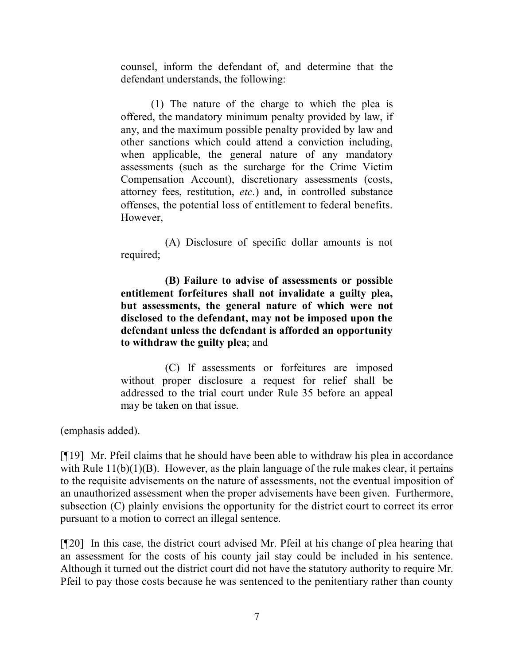counsel, inform the defendant of, and determine that the defendant understands, the following:

(1) The nature of the charge to which the plea is offered, the mandatory minimum penalty provided by law, if any, and the maximum possible penalty provided by law and other sanctions which could attend a conviction including, when applicable, the general nature of any mandatory assessments (such as the surcharge for the Crime Victim Compensation Account), discretionary assessments (costs, attorney fees, restitution, *etc.*) and, in controlled substance offenses, the potential loss of entitlement to federal benefits. However,

 (A) Disclosure of specific dollar amounts is not required;

 **(B) Failure to advise of assessments or possible entitlement forfeitures shall not invalidate a guilty plea, but assessments, the general nature of which were not disclosed to the defendant, may not be imposed upon the defendant unless the defendant is afforded an opportunity to withdraw the guilty plea**; and

 (C) If assessments or forfeitures are imposed without proper disclosure a request for relief shall be addressed to the trial court under Rule 35 before an appeal may be taken on that issue.

(emphasis added).

[¶19] Mr. Pfeil claims that he should have been able to withdraw his plea in accordance with Rule  $11(b)(1)(B)$ . However, as the plain language of the rule makes clear, it pertains to the requisite advisements on the nature of assessments, not the eventual imposition of an unauthorized assessment when the proper advisements have been given. Furthermore, subsection (C) plainly envisions the opportunity for the district court to correct its error pursuant to a motion to correct an illegal sentence.

[¶20] In this case, the district court advised Mr. Pfeil at his change of plea hearing that an assessment for the costs of his county jail stay could be included in his sentence. Although it turned out the district court did not have the statutory authority to require Mr. Pfeil to pay those costs because he was sentenced to the penitentiary rather than county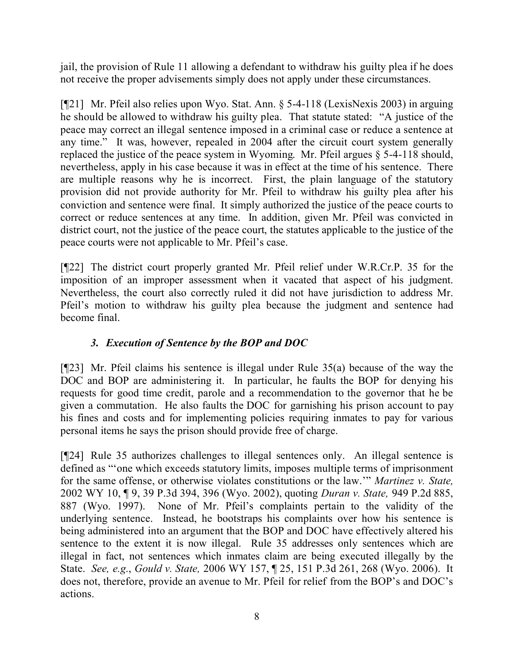jail, the provision of Rule 11 allowing a defendant to withdraw his guilty plea if he does not receive the proper advisements simply does not apply under these circumstances.

[¶21] Mr. Pfeil also relies upon Wyo. Stat. Ann. § 5-4-118 (LexisNexis 2003) in arguing he should be allowed to withdraw his guilty plea. That statute stated: "A justice of the peace may correct an illegal sentence imposed in a criminal case or reduce a sentence at any time." It was, however, repealed in 2004 after the circuit court system generally replaced the justice of the peace system in Wyoming. Mr. Pfeil argues  $\S$  5-4-118 should, nevertheless, apply in his case because it was in effect at the time of his sentence. There are multiple reasons why he is incorrect. First, the plain language of the statutory provision did not provide authority for Mr. Pfeil to withdraw his guilty plea after his conviction and sentence were final. It simply authorized the justice of the peace courts to correct or reduce sentences at any time. In addition, given Mr. Pfeil was convicted in district court, not the justice of the peace court, the statutes applicable to the justice of the peace courts were not applicable to Mr. Pfeil's case.

[¶22] The district court properly granted Mr. Pfeil relief under W.R.Cr.P. 35 for the imposition of an improper assessment when it vacated that aspect of his judgment. Nevertheless, the court also correctly ruled it did not have jurisdiction to address Mr. Pfeil's motion to withdraw his guilty plea because the judgment and sentence had become final.

# *3. Execution of Sentence by the BOP and DOC*

[¶23] Mr. Pfeil claims his sentence is illegal under Rule 35(a) because of the way the DOC and BOP are administering it. In particular, he faults the BOP for denying his requests for good time credit, parole and a recommendation to the governor that he be given a commutation. He also faults the DOC for garnishing his prison account to pay his fines and costs and for implementing policies requiring inmates to pay for various personal items he says the prison should provide free of charge.

[¶24] Rule 35 authorizes challenges to illegal sentences only. An illegal sentence is defined as "'one which exceeds statutory limits, imposes multiple terms of imprisonment for the same offense, or otherwise violates constitutions or the law.'" *Martinez v. State,* 2002 WY 10, ¶ 9, 39 P.3d 394, 396 (Wyo. 2002), quoting *Duran v. State,* 949 P.2d 885, 887 (Wyo. 1997). None of Mr. Pfeil's complaints pertain to the validity of the underlying sentence. Instead, he bootstraps his complaints over how his sentence is being administered into an argument that the BOP and DOC have effectively altered his sentence to the extent it is now illegal. Rule 35 addresses only sentences which are illegal in fact, not sentences which inmates claim are being executed illegally by the State. *See, e.g*., *Gould v. State,* 2006 WY 157, ¶ 25, 151 P.3d 261, 268 (Wyo. 2006). It does not, therefore, provide an avenue to Mr. Pfeil for relief from the BOP's and DOC's actions.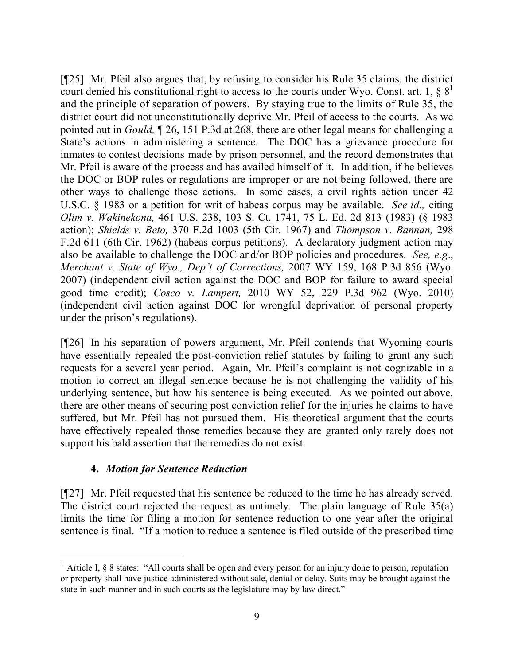[¶25] Mr. Pfeil also argues that, by refusing to consider his Rule 35 claims, the district court denied his constitutional right to access to the courts under Wyo. Const. art. 1,  $\S 8<sup>1</sup>$ and the principle of separation of powers. By staying true to the limits of Rule 35, the district court did not unconstitutionally deprive Mr. Pfeil of access to the courts. As we pointed out in *Gould,* ¶ 26, 151 P.3d at 268, there are other legal means for challenging a State's actions in administering a sentence. The DOC has a grievance procedure for inmates to contest decisions made by prison personnel, and the record demonstrates that Mr. Pfeil is aware of the process and has availed himself of it. In addition, if he believes the DOC or BOP rules or regulations are improper or are not being followed, there are other ways to challenge those actions. In some cases, a civil rights action under 42 U.S.C. § 1983 or a petition for writ of habeas corpus may be available. *See id.,* citing *Olim v. Wakinekona,* 461 U.S. 238, 103 S. Ct. 1741, 75 L. Ed. 2d 813 (1983) (§ 1983 action); *Shields v. Beto,* 370 F.2d 1003 (5th Cir. 1967) and *Thompson v. Bannan,* 298 F.2d 611 (6th Cir. 1962) (habeas corpus petitions). A declaratory judgment action may also be available to challenge the DOC and/or BOP policies and procedures. *See, e.g*., *Merchant v. State of Wyo., Dep't of Corrections,* 2007 WY 159, 168 P.3d 856 (Wyo. 2007) (independent civil action against the DOC and BOP for failure to award special good time credit); *Cosco v. Lampert,* 2010 WY 52, 229 P.3d 962 (Wyo. 2010) (independent civil action against DOC for wrongful deprivation of personal property under the prison's regulations).

[¶26] In his separation of powers argument, Mr. Pfeil contends that Wyoming courts have essentially repealed the post-conviction relief statutes by failing to grant any such requests for a several year period. Again, Mr. Pfeil's complaint is not cognizable in a motion to correct an illegal sentence because he is not challenging the validity of his underlying sentence, but how his sentence is being executed. As we pointed out above, there are other means of securing post conviction relief for the injuries he claims to have suffered, but Mr. Pfeil has not pursued them. His theoretical argument that the courts have effectively repealed those remedies because they are granted only rarely does not support his bald assertion that the remedies do not exist.

### **4.** *Motion for Sentence Reduction*

[¶27] Mr. Pfeil requested that his sentence be reduced to the time he has already served. The district court rejected the request as untimely. The plain language of Rule 35(a) limits the time for filing a motion for sentence reduction to one year after the original sentence is final. "If a motion to reduce a sentence is filed outside of the prescribed time

<sup>&</sup>lt;sup>1</sup> Article I,  $\S$  8 states: "All courts shall be open and every person for an injury done to person, reputation or property shall have justice administered without sale, denial or delay. Suits may be brought against the state in such manner and in such courts as the legislature may by law direct."